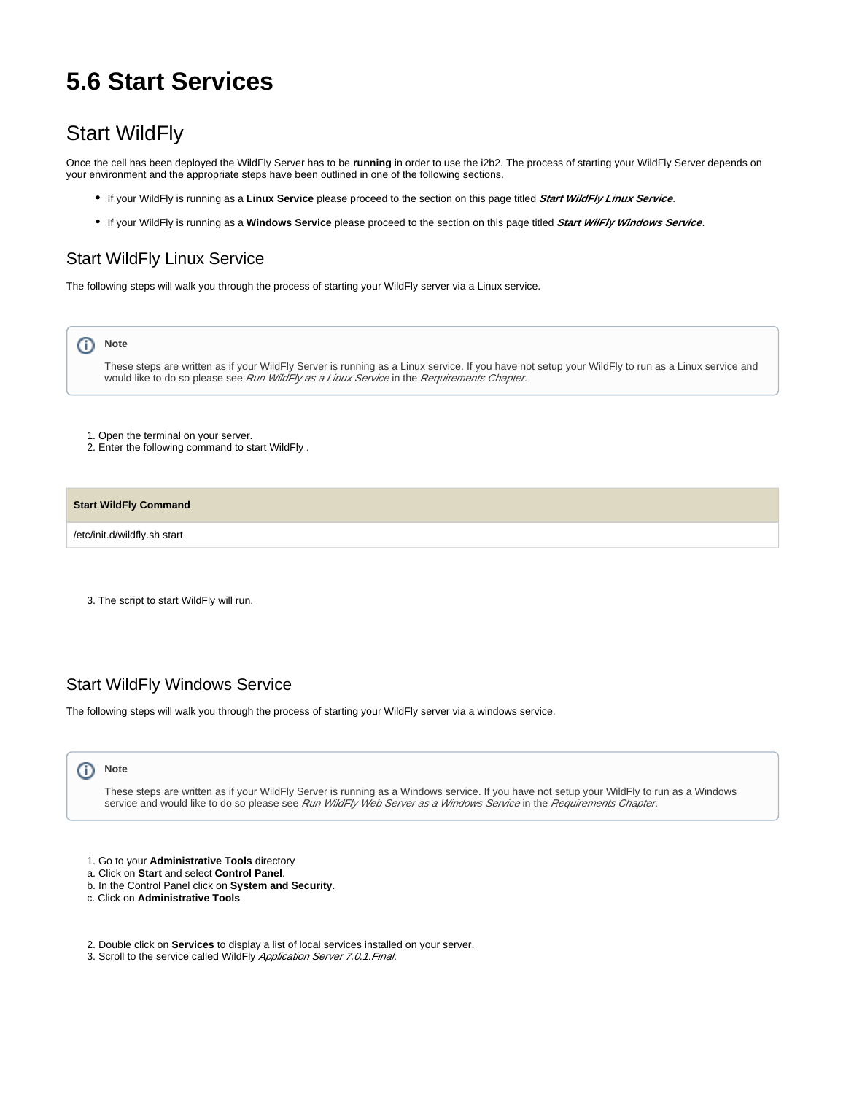# **5.6 Start Services**

## Start WildFly

Once the cell has been deployed the WildFly Server has to be **running** in order to use the i2b2. The process of starting your WildFly Server depends on your environment and the appropriate steps have been outlined in one of the following sections.

- If your WildFly is running as a **Linux Service** please proceed to the section on this page titled **Start WildFly Linux Service**.
- If your WildFly is running as a **Windows Service** please proceed to the section on this page titled **Start WilFly Windows Service**.

### Start WildFly Linux Service

The following steps will walk you through the process of starting your WildFly server via a Linux service.



These steps are written as if your WildFly Server is running as a Linux service. If you have not setup your WildFly to run as a Linux service and would like to do so please see Run WildFly as a Linux Service in the Requirements Chapter.

- 1. Open the terminal on your server.
- 2. Enter the following command to start WildFly .

### **Start WildFly Command**

/etc/init.d/wildfly.sh start

3. The script to start WildFly will run.

## Start WildFly Windows Service

The following steps will walk you through the process of starting your WildFly server via a windows service.

#### (ï) **Note**

These steps are written as if your WildFly Server is running as a Windows service. If you have not setup your WildFly to run as a Windows service and would like to do so please see Run WildFly Web Server as a Windows Service in the Requirements Chapter.

- 1. Go to your **Administrative Tools** directory
- a. Click on **Start** and select **Control Panel**.
- b. In the Control Panel click on **System and Security**.
- c. Click on **Administrative Tools**
- 2. Double click on **Services** to display a list of local services installed on your server.
- 3. Scroll to the service called WildFly Application Server 7.0.1. Final.